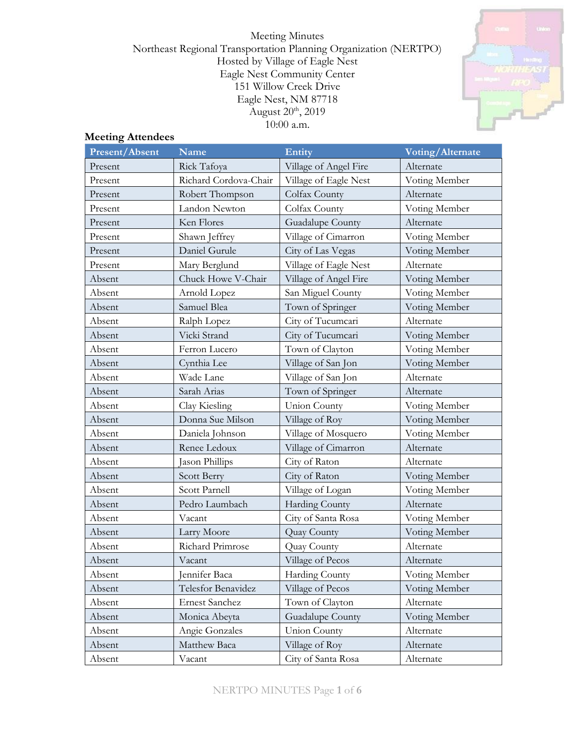Meeting Minutes Northeast Regional Transportation Planning Organization (NERTPO) Hosted by Village of Eagle Nest Eagle Nest Community Center 151 Willow Creek Drive Eagle Nest, NM 87718 August 20<sup>th</sup>, 2019 10:00 a.m.



# **Meeting Attendees**

| <b>Present/Absent</b> | <b>Name</b>           | <b>Entity</b>         | Voting/Alternate |
|-----------------------|-----------------------|-----------------------|------------------|
| Present               | Rick Tafoya           | Village of Angel Fire | Alternate        |
| Present               | Richard Cordova-Chair | Village of Eagle Nest | Voting Member    |
| Present               | Robert Thompson       | Colfax County         | Alternate        |
| Present               | Landon Newton         | Colfax County         | Voting Member    |
| Present               | Ken Flores            | Guadalupe County      | Alternate        |
| Present               | Shawn Jeffrey         | Village of Cimarron   | Voting Member    |
| Present               | Daniel Gurule         | City of Las Vegas     | Voting Member    |
| Present               | Mary Berglund         | Village of Eagle Nest | Alternate        |
| Absent                | Chuck Howe V-Chair    | Village of Angel Fire | Voting Member    |
| Absent                | Arnold Lopez          | San Miguel County     | Voting Member    |
| Absent                | Samuel Blea           | Town of Springer      | Voting Member    |
| Absent                | Ralph Lopez           | City of Tucumcari     | Alternate        |
| Absent                | Vicki Strand          | City of Tucumcari     | Voting Member    |
| Absent                | Ferron Lucero         | Town of Clayton       | Voting Member    |
| Absent                | Cynthia Lee           | Village of San Jon    | Voting Member    |
| Absent                | Wade Lane             | Village of San Jon    | Alternate        |
| Absent                | Sarah Arias           | Town of Springer      | Alternate        |
| Absent                | Clay Kiesling         | <b>Union County</b>   | Voting Member    |
| Absent                | Donna Sue Milson      | Village of Roy        | Voting Member    |
| Absent                | Daniela Johnson       | Village of Mosquero   | Voting Member    |
| Absent                | Renee Ledoux          | Village of Cimarron   | Alternate        |
| Absent                | Jason Phillips        | City of Raton         | Alternate        |
| Absent                | <b>Scott Berry</b>    | City of Raton         | Voting Member    |
| Absent                | Scott Parnell         | Village of Logan      | Voting Member    |
| Absent                | Pedro Laumbach        | Harding County        | Alternate        |
| Absent                | Vacant                | City of Santa Rosa    | Voting Member    |
| Absent                | Larry Moore           | Quay County           | Voting Member    |
| Absent                | Richard Primrose      | Quay County           | Alternate        |
| Absent                | Vacant                | Village of Pecos      | Alternate        |
| Absent                | Jennifer Baca         | Harding County        | Voting Member    |
| Absent                | Telesfor Benavidez    | Village of Pecos      | Voting Member    |
| Absent                | <b>Ernest Sanchez</b> | Town of Clayton       | Alternate        |
| Absent                | Monica Abeyta         | Guadalupe County      | Voting Member    |
| Absent                | Angie Gonzales        | <b>Union County</b>   | Alternate        |
| Absent                | Matthew Baca          | Village of Roy        | Alternate        |
| Absent                | Vacant                | City of Santa Rosa    | Alternate        |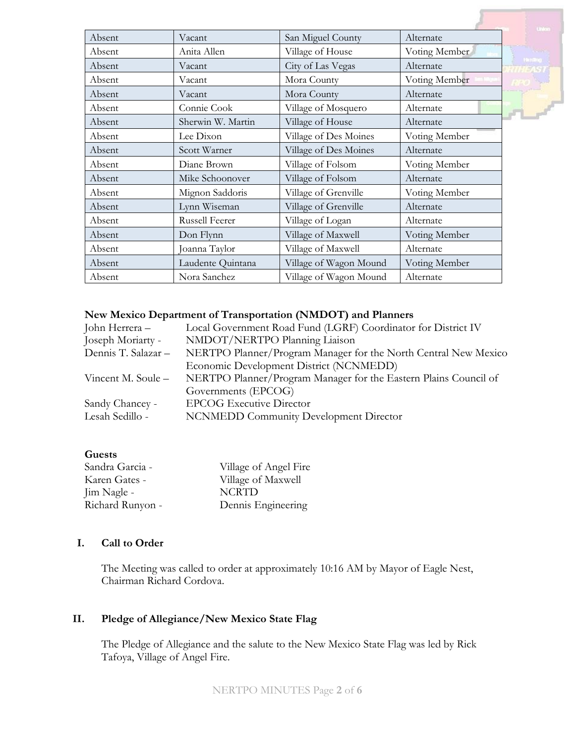| Absent | Vacant            | San Miguel County      | Alternate     |
|--------|-------------------|------------------------|---------------|
| Absent | Anita Allen       | Village of House       | Voting Member |
| Absent | Vacant            | City of Las Vegas      | Alternate     |
| Absent | Vacant            | Mora County            | Voting Member |
| Absent | Vacant            | Mora County            | Alternate     |
| Absent | Connie Cook       | Village of Mosquero    | Alternate     |
| Absent | Sherwin W. Martin | Village of House       | Alternate     |
| Absent | Lee Dixon         | Village of Des Moines  | Voting Member |
| Absent | Scott Warner      | Village of Des Moines  | Alternate     |
| Absent | Diane Brown       | Village of Folsom      | Voting Member |
| Absent | Mike Schoonover   | Village of Folsom      | Alternate     |
| Absent | Mignon Saddoris   | Village of Grenville   | Voting Member |
| Absent | Lynn Wiseman      | Village of Grenville   | Alternate     |
| Absent | Russell Feerer    | Village of Logan       | Alternate     |
| Absent | Don Flynn         | Village of Maxwell     | Voting Member |
| Absent | Joanna Taylor     | Village of Maxwell     | Alternate     |
| Absent | Laudente Quintana | Village of Wagon Mound | Voting Member |
| Absent | Nora Sanchez      | Village of Wagon Mound | Alternate     |

#### **New Mexico Department of Transportation (NMDOT) and Planners**

| John Herrera –      | Local Government Road Fund (LGRF) Coordinator for District IV    |  |
|---------------------|------------------------------------------------------------------|--|
| Joseph Moriarty -   | NMDOT/NERTPO Planning Liaison                                    |  |
| Dennis T. Salazar - | NERTPO Planner/Program Manager for the North Central New Mexico  |  |
|                     | Economic Development District (NCNMEDD)                          |  |
| Vincent M. Soule –  | NERTPO Planner/Program Manager for the Eastern Plains Council of |  |
|                     | Governments (EPCOG)                                              |  |
| Sandy Chancey -     | <b>EPCOG Executive Director</b>                                  |  |
| Lesah Sedillo -     | <b>NCNMEDD Community Development Director</b>                    |  |
|                     |                                                                  |  |

#### **Guests**

| Sandra Garcia -  | Village of Angel Fire |
|------------------|-----------------------|
| Karen Gates -    | Village of Maxwell    |
| Jim Nagle -      | <b>NCRTD</b>          |
| Richard Runyon - | Dennis Engineering    |

### **I. Call to Order**

The Meeting was called to order at approximately 10:16 AM by Mayor of Eagle Nest, Chairman Richard Cordova.

## **II. Pledge of Allegiance/New Mexico State Flag**

The Pledge of Allegiance and the salute to the New Mexico State Flag was led by Rick Tafoya, Village of Angel Fire.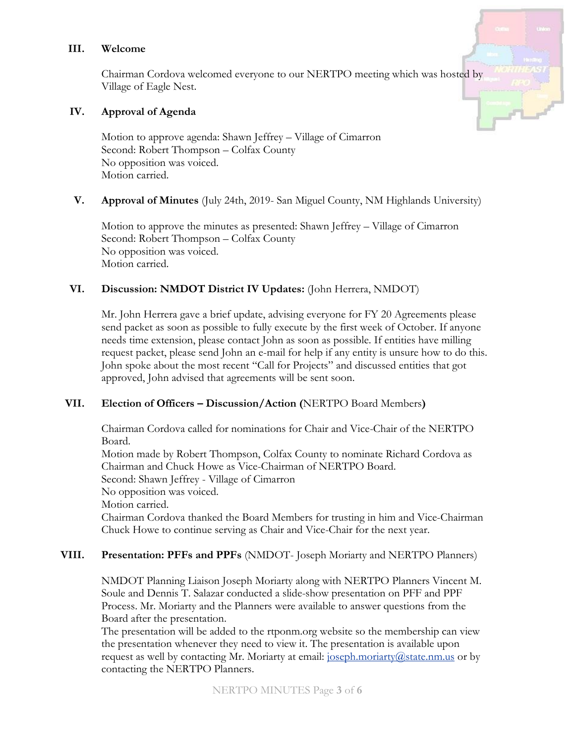#### **III. Welcome**

Chairman Cordova welcomed everyone to our NERTPO meeting which was hosted by Village of Eagle Nest.

#### **IV. Approval of Agenda**

Motion to approve agenda: Shawn Jeffrey – Village of Cimarron Second: Robert Thompson – Colfax County No opposition was voiced. Motion carried.

### **V. Approval of Minutes** (July 24th, 2019- San Miguel County, NM Highlands University)

Motion to approve the minutes as presented: Shawn Jeffrey – Village of Cimarron Second: Robert Thompson – Colfax County No opposition was voiced. Motion carried.

## **VI. Discussion: NMDOT District IV Updates:** (John Herrera, NMDOT)

Mr. John Herrera gave a brief update, advising everyone for FY 20 Agreements please send packet as soon as possible to fully execute by the first week of October. If anyone needs time extension, please contact John as soon as possible. If entities have milling request packet, please send John an e-mail for help if any entity is unsure how to do this. John spoke about the most recent "Call for Projects" and discussed entities that got approved, John advised that agreements will be sent soon.

### **VII. Election of Officers – Discussion/Action (**NERTPO Board Members**)**

Chairman Cordova called for nominations for Chair and Vice-Chair of the NERTPO Board. Motion made by Robert Thompson, Colfax County to nominate Richard Cordova as Chairman and Chuck Howe as Vice-Chairman of NERTPO Board. Second: Shawn Jeffrey - Village of Cimarron No opposition was voiced. Motion carried. Chairman Cordova thanked the Board Members for trusting in him and Vice-Chairman Chuck Howe to continue serving as Chair and Vice-Chair for the next year.

### **VIII. Presentation: PFFs and PPFs** (NMDOT- Joseph Moriarty and NERTPO Planners)

NMDOT Planning Liaison Joseph Moriarty along with NERTPO Planners Vincent M. Soule and Dennis T. Salazar conducted a slide-show presentation on PFF and PPF Process. Mr. Moriarty and the Planners were available to answer questions from the Board after the presentation.

The presentation will be added to the rtponm.org website so the membership can view the presentation whenever they need to view it. The presentation is available upon request as well by contacting Mr. Moriarty at email:  $\frac{1}{10}$  is  $\frac{1}{10}$  is  $\frac{1}{10}$  or by contacting the NERTPO Planners.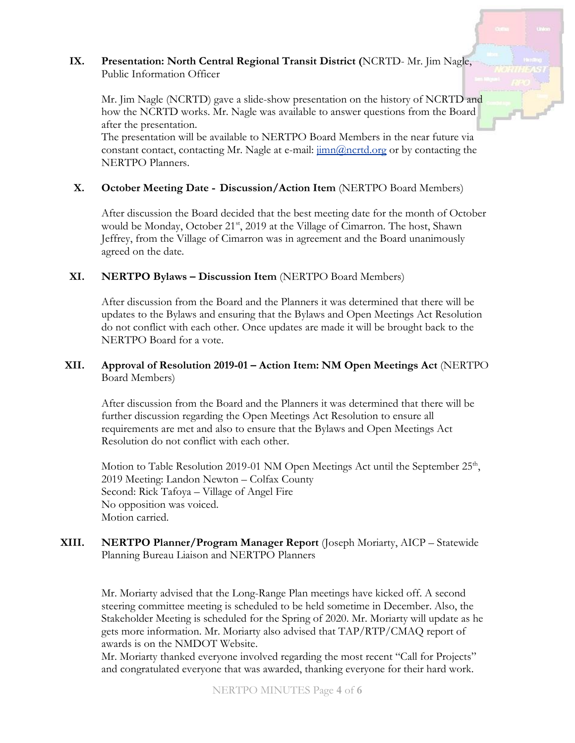## **IX. Presentation: North Central Regional Transit District (**NCRTD- Mr. Jim Nagle, Public Information Officer

Mr. Jim Nagle (NCRTD) gave a slide-show presentation on the history of NCRTD and how the NCRTD works. Mr. Nagle was available to answer questions from the Board after the presentation.

The presentation will be available to NERTPO Board Members in the near future via constant contact, contacting Mr. Nagle at e-mail:  $\frac{\text{imn}(\partial \text{ncrtd.org})}{\text{imn}(\partial \text{ncrtd.org})}$  or by contacting the NERTPO Planners.

## **X. October Meeting Date - Discussion/Action Item** (NERTPO Board Members)

After discussion the Board decided that the best meeting date for the month of October would be Monday, October 21<sup>st</sup>, 2019 at the Village of Cimarron. The host, Shawn Jeffrey, from the Village of Cimarron was in agreement and the Board unanimously agreed on the date.

### **XI. NERTPO Bylaws – Discussion Item** (NERTPO Board Members)

After discussion from the Board and the Planners it was determined that there will be updates to the Bylaws and ensuring that the Bylaws and Open Meetings Act Resolution do not conflict with each other. Once updates are made it will be brought back to the NERTPO Board for a vote.

### **XII. Approval of Resolution 2019-01 – Action Item: NM Open Meetings Act** (NERTPO Board Members)

After discussion from the Board and the Planners it was determined that there will be further discussion regarding the Open Meetings Act Resolution to ensure all requirements are met and also to ensure that the Bylaws and Open Meetings Act Resolution do not conflict with each other.

Motion to Table Resolution 2019-01 NM Open Meetings Act until the September 25<sup>th</sup>, 2019 Meeting: Landon Newton – Colfax County Second: Rick Tafoya – Village of Angel Fire No opposition was voiced. Motion carried.

### **XIII. NERTPO Planner/Program Manager Report** (Joseph Moriarty, AICP – Statewide Planning Bureau Liaison and NERTPO Planners

Mr. Moriarty advised that the Long-Range Plan meetings have kicked off. A second steering committee meeting is scheduled to be held sometime in December. Also, the Stakeholder Meeting is scheduled for the Spring of 2020. Mr. Moriarty will update as he gets more information. Mr. Moriarty also advised that TAP/RTP/CMAQ report of awards is on the NMDOT Website.

Mr. Moriarty thanked everyone involved regarding the most recent "Call for Projects" and congratulated everyone that was awarded, thanking everyone for their hard work.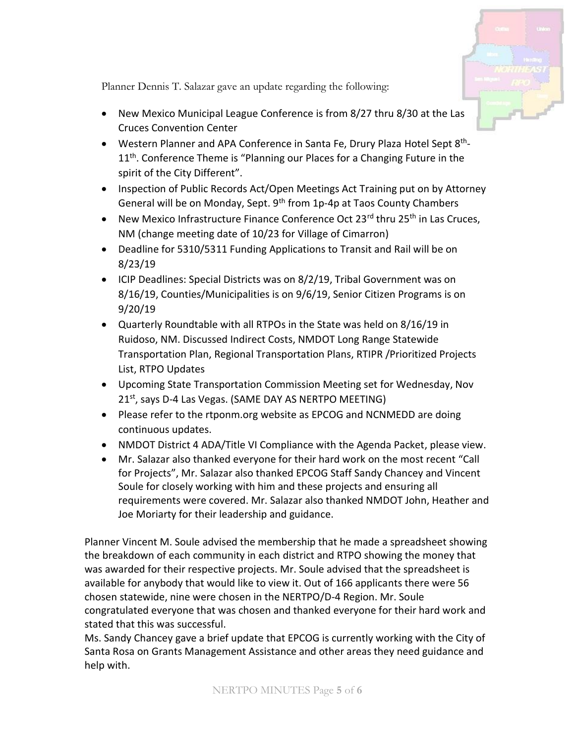

Planner Dennis T. Salazar gave an update regarding the following:

- New Mexico Municipal League Conference is from 8/27 thru 8/30 at the Las Cruces Convention Center
- Western Planner and APA Conference in Santa Fe, Drury Plaza Hotel Sept 8<sup>th</sup>-11<sup>th</sup>. Conference Theme is "Planning our Places for a Changing Future in the spirit of the City Different".
- Inspection of Public Records Act/Open Meetings Act Training put on by Attorney General will be on Monday, Sept. 9<sup>th</sup> from 1p-4p at Taos County Chambers
- New Mexico Infrastructure Finance Conference Oct 23 $^{\text{rd}}$  thru 25<sup>th</sup> in Las Cruces, NM (change meeting date of 10/23 for Village of Cimarron)
- Deadline for 5310/5311 Funding Applications to Transit and Rail will be on 8/23/19
- ICIP Deadlines: Special Districts was on 8/2/19, Tribal Government was on 8/16/19, Counties/Municipalities is on 9/6/19, Senior Citizen Programs is on 9/20/19
- Quarterly Roundtable with all RTPOs in the State was held on 8/16/19 in Ruidoso, NM. Discussed Indirect Costs, NMDOT Long Range Statewide Transportation Plan, Regional Transportation Plans, RTIPR /Prioritized Projects List, RTPO Updates
- Upcoming State Transportation Commission Meeting set for Wednesday, Nov 21st, says D-4 Las Vegas. (SAME DAY AS NERTPO MEETING)
- Please refer to the rtponm.org website as EPCOG and NCNMEDD are doing continuous updates.
- NMDOT District 4 ADA/Title VI Compliance with the Agenda Packet, please view.
- Mr. Salazar also thanked everyone for their hard work on the most recent "Call for Projects", Mr. Salazar also thanked EPCOG Staff Sandy Chancey and Vincent Soule for closely working with him and these projects and ensuring all requirements were covered. Mr. Salazar also thanked NMDOT John, Heather and Joe Moriarty for their leadership and guidance.

Planner Vincent M. Soule advised the membership that he made a spreadsheet showing the breakdown of each community in each district and RTPO showing the money that was awarded for their respective projects. Mr. Soule advised that the spreadsheet is available for anybody that would like to view it. Out of 166 applicants there were 56 chosen statewide, nine were chosen in the NERTPO/D-4 Region. Mr. Soule congratulated everyone that was chosen and thanked everyone for their hard work and stated that this was successful.

Ms. Sandy Chancey gave a brief update that EPCOG is currently working with the City of Santa Rosa on Grants Management Assistance and other areas they need guidance and help with.